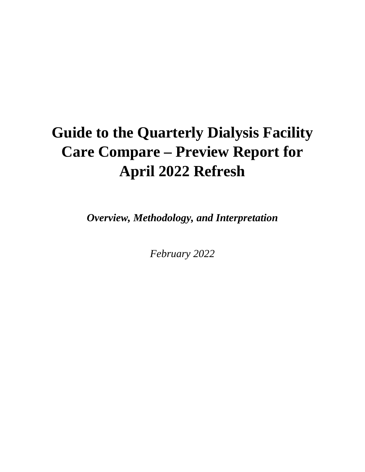# **Guide to the Quarterly Dialysis Facility Care Compare – Preview Report for April 2022 Refresh**

*Overview, Methodology, and Interpretation*

*February 2022*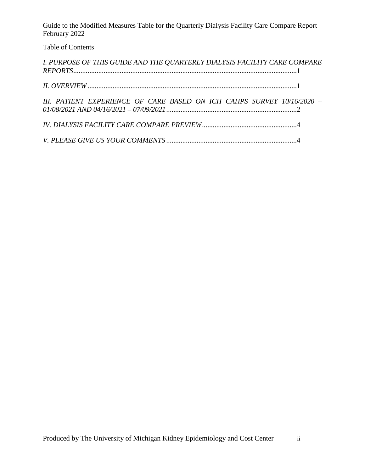Guide to the Modified Measures Table for the Quarterly Dialysis Facility Care Compare Report February 2022

## Table of Contents

| I. PURPOSE OF THIS GUIDE AND THE QUARTERLY DIALYSIS FACILITY CARE COMPARE |  |
|---------------------------------------------------------------------------|--|
|                                                                           |  |
| III. PATIENT EXPERIENCE OF CARE BASED ON ICH CAHPS SURVEY 10/16/2020 -    |  |
|                                                                           |  |
|                                                                           |  |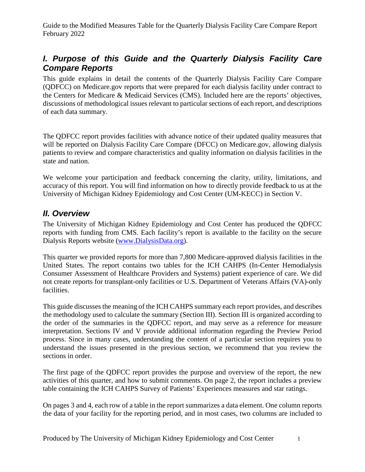Guide to the Modified Measures Table for the Quarterly Dialysis Facility Care Compare Report February 2022

# <span id="page-2-0"></span>*I. Purpose of this Guide and the Quarterly Dialysis Facility Care Compare Reports*

This guide explains in detail the contents of the Quarterly Dialysis Facility Care Compare (QDFCC) on Medicare.gov reports that were prepared for each dialysis facility under contract to the Centers for Medicare & Medicaid Services (CMS). Included here are the reports' objectives, discussions of methodological issues relevant to particular sections of each report, and descriptions of each data summary.

The QDFCC report provides facilities with advance notice of their updated quality measures that will be reported on Dialysis Facility Care Compare (DFCC) on Medicare.gov, allowing dialysis patients to review and compare characteristics and quality information on dialysis facilities in the state and nation.

We welcome your participation and feedback concerning the clarity, utility, limitations, and accuracy of this report. You will find information on how to directly provide feedback to us at the University of Michigan Kidney Epidemiology and Cost Center (UM-KECC) in Section V.

### <span id="page-2-1"></span>*II. Overview*

The University of Michigan Kidney Epidemiology and Cost Center has produced the QDFCC reports with funding from CMS. Each facility's report is available to the facility on the secure Dialysis Reports website [\(www.DialysisData.org\)](http://www.dialysisdata.org/).

This quarter we provided reports for more than 7,800 Medicare-approved dialysis facilities in the United States. The report contains two tables for the ICH CAHPS (In-Center Hemodialysis Consumer Assessment of Healthcare Providers and Systems) patient experience of care. We did not create reports for transplant-only facilities or U.S. Department of Veterans Affairs (VA)-only facilities.

This guide discusses the meaning of the ICH CAHPS summary each report provides, and describes the methodology used to calculate the summary (Section III). Section III is organized according to the order of the summaries in the QDFCC report, and may serve as a reference for measure interpretation. Sections IV and V provide additional information regarding the Preview Period process. Since in many cases, understanding the content of a particular section requires you to understand the issues presented in the previous section, we recommend that you review the sections in order.

The first page of the QDFCC report provides the purpose and overview of the report, the new activities of this quarter, and how to submit comments. On page 2, the report includes a preview table containing the ICH CAHPS Survey of Patients' Experiences measures and star ratings.

On pages 3 and 4, each row of a table in the report summarizes a data element. One column reports the data of your facility for the reporting period, and in most cases, two columns are included to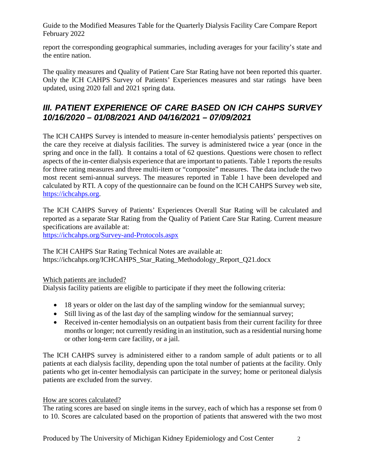Guide to the Modified Measures Table for the Quarterly Dialysis Facility Care Compare Report February 2022

report the corresponding geographical summaries, including averages for your facility's state and the entire nation.

The quality measures and Quality of Patient Care Star Rating have not been reported this quarter. Only the ICH CAHPS Survey of Patients' Experiences measures and star ratings have been updated, using 2020 fall and 2021 spring data.

# <span id="page-3-0"></span>*III. PATIENT EXPERIENCE OF CARE BASED ON ICH CAHPS SURVEY 10/16/2020 – 01/08/2021 AND 04/16/2021 – 07/09/2021*

The ICH CAHPS Survey is intended to measure in-center hemodialysis patients' perspectives on the care they receive at dialysis facilities. The survey is administered twice a year (once in the spring and once in the fall). It contains a total of 62 questions. Questions were chosen to reflect aspects of the in-center dialysis experience that are important to patients. Table 1 reports the results for three rating measures and three multi-item or "composite" measures. The data include the two most recent semi-annual surveys. The measures reported in Table 1 have been developed and calculated by RTI. A copy of the questionnaire can be found on the ICH CAHPS Survey web site, [https://ichcahps.org.](https://ichcahps.org/)

The ICH CAHPS Survey of Patients' Experiences Overall Star Rating will be calculated and reported as a separate Star Rating from the Quality of Patient Care Star Rating. Current measure specifications are available at:

<https://ichcahps.org/Survey-and-Protocols.aspx>

The ICH CAHPS Star Rating Technical Notes are available at: https://ichcahps.org/ICHCAHPS\_Star\_Rating\_Methodology\_Report\_Q21.docx

#### Which patients are included?

Dialysis facility patients are eligible to participate if they meet the following criteria:

- 18 years or older on the last day of the sampling window for the semiannual survey;
- Still living as of the last day of the sampling window for the semiannual survey;
- Received in-center hemodialysis on an outpatient basis from their current facility for three months or longer; not currently residing in an institution, such as a residential nursing home or other long-term care facility, or a jail.

The ICH CAHPS survey is administered either to a random sample of adult patients or to all patients at each dialysis facility, depending upon the total number of patients at the facility. Only patients who get in-center hemodialysis can participate in the survey; home or peritoneal dialysis patients are excluded from the survey.

#### How are scores calculated?

The rating scores are based on single items in the survey, each of which has a response set from 0 to 10. Scores are calculated based on the proportion of patients that answered with the two most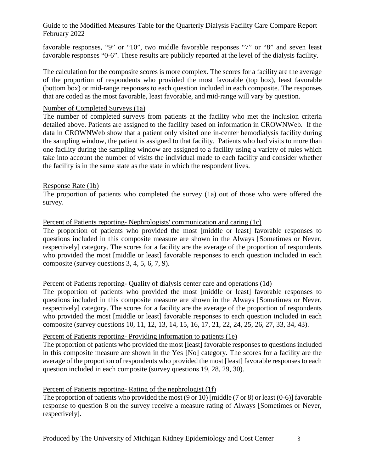Guide to the Modified Measures Table for the Quarterly Dialysis Facility Care Compare Report February 2022

favorable responses, "9" or "10", two middle favorable responses "7" or "8" and seven least favorable responses "0-6". These results are publicly reported at the level of the dialysis facility.

The calculation for the composite scores is more complex. The scores for a facility are the average of the proportion of respondents who provided the most favorable (top box), least favorable (bottom box) or mid-range responses to each question included in each composite. The responses that are coded as the most favorable, least favorable, and mid-range will vary by question.

#### Number of Completed Surveys (1a)

The number of completed surveys from patients at the facility who met the inclusion criteria detailed above. Patients are assigned to the facility based on information in CROWNWeb. If the data in CROWNWeb show that a patient only visited one in-center hemodialysis facility during the sampling window, the patient is assigned to that facility. Patients who had visits to more than one facility during the sampling window are assigned to a facility using a variety of rules which take into account the number of visits the individual made to each facility and consider whether the facility is in the same state as the state in which the respondent lives.

#### Response Rate (1b)

The proportion of patients who completed the survey (1a) out of those who were offered the survey.

#### Percent of Patients reporting- Nephrologists' communication and caring (1c)

The proportion of patients who provided the most [middle or least] favorable responses to questions included in this composite measure are shown in the Always [Sometimes or Never, respectively] category. The scores for a facility are the average of the proportion of respondents who provided the most [middle or least] favorable responses to each question included in each composite (survey questions 3, 4, 5, 6, 7, 9).

#### Percent of Patients reporting- Quality of dialysis center care and operations (1d)

The proportion of patients who provided the most [middle or least] favorable responses to questions included in this composite measure are shown in the Always [Sometimes or Never, respectively] category. The scores for a facility are the average of the proportion of respondents who provided the most [middle or least] favorable responses to each question included in each composite (survey questions 10, 11, 12, 13, 14, 15, 16, 17, 21, 22, 24, 25, 26, 27, 33, 34, 43).

#### Percent of Patients reporting- Providing information to patients (1e)

The proportion of patients who provided the most [least] favorable responses to questions included in this composite measure are shown in the Yes [No] category. The scores for a facility are the average of the proportion of respondents who provided the most [least] favorable responses to each question included in each composite (survey questions 19, 28, 29, 30).

#### Percent of Patients reporting- Rating of the nephrologist (1f)

The proportion of patients who provided the most (9 or 10) [middle (7 or 8) or least (0-6)] favorable response to question 8 on the survey receive a measure rating of Always [Sometimes or Never, respectively].